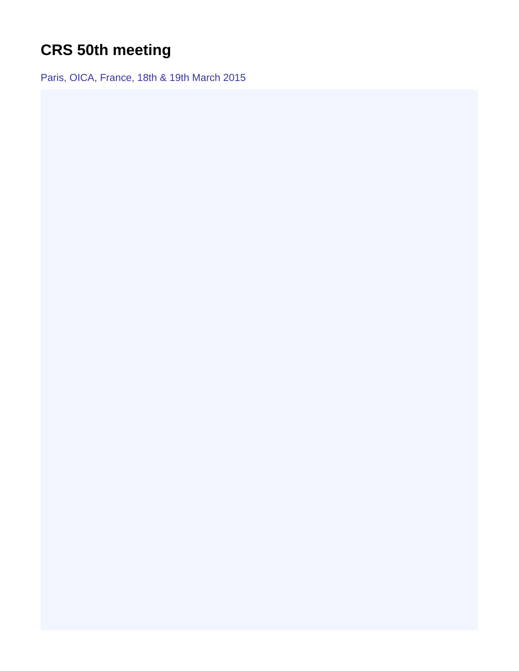## <span id="page-0-0"></span>**CRS 50th meeting**

Paris, OICA, France, 18th & 19th March 2015